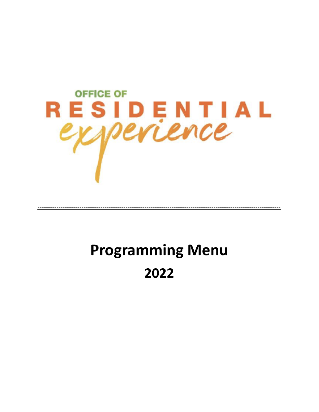

# **Programming Menu** 2022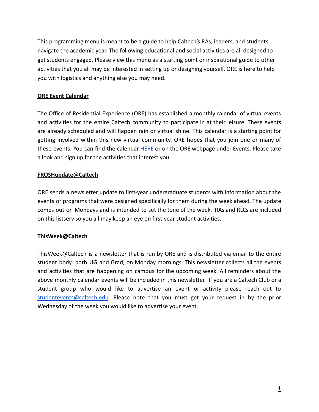This programming menu is meant to be a guide to help Caltech's RAs, leaders, and students navigate the academic year. The following educational and social activities are all designed to get students engaged. Please view this menu as a starting point or inspirational guide to other activities that you all may be interested in setting up or designing yourself. ORE is here to help you with logistics and anything else you may need.

# **ORE Event Calendar**

The Office of Residential Experience (ORE) has established a monthly calendar of virtual events and activities for the entire Caltech community to participate in at their leisure. These events are already scheduled and will happen rain or virtual shine. This calendar is a starting point for getting involved within this new virtual community. ORE hopes that you join one or many of these events. You can find the calendar **[HERE](https://ore.caltech.edu/events/calendar)** or on the ORE webpage under Events. Please take a look and sign up for the activities that interest you.

# **FROSHupdate@Caltech**

ORE sends a newsletter update to first-year undergraduate students with information about the events or programs that were designed specifically for them during the week ahead. The update comes out on Mondays and is intended to set the tone of the week. RAs and RLCs are included on this listserv so you all may keep an eye on first-year student activities.

#### **ThisWeek@Caltech**

ThisWeek@Caltech is a newsletter that is run by ORE and is distributed via email to the entire student body, both UG and Grad, on Monday mornings. This newsletter collects all the events and activities that are happening on campus for the upcoming week. All reminders about the above monthly calendar events will be included in this newsletter. If you are a Caltech Club or a student group who would like to advertise an event or activity please reach out to [studentevents@caltech.edu](mailto:studentevents@caltech.edu). Please note that you must get your request in by the prior Wednesday of the week you would like to advertise your event.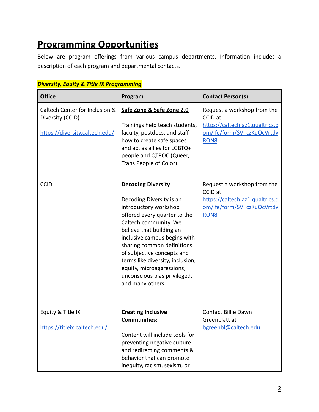# **Programming Opportunities**

Below are program offerings from various campus departments. Information includes a description of each program and departmental contacts.

| <b>Office</b>                                                                        | Program                                                                                                                                                                                                                                                                                                                                                                              | <b>Contact Person(s)</b>                                                                                                     |
|--------------------------------------------------------------------------------------|--------------------------------------------------------------------------------------------------------------------------------------------------------------------------------------------------------------------------------------------------------------------------------------------------------------------------------------------------------------------------------------|------------------------------------------------------------------------------------------------------------------------------|
| Caltech Center for Inclusion &<br>Diversity (CCID)<br>https://diversity.caltech.edu/ | Safe Zone & Safe Zone 2.0<br>Trainings help teach students,<br>faculty, postdocs, and staff<br>how to create safe spaces<br>and act as allies for LGBTQ+<br>people and QTPOC (Queer,<br>Trans People of Color).                                                                                                                                                                      | Request a workshop from the<br>CCID at:<br>https://caltech.az1.qualtrics.c<br>om/jfe/form/SV_czKuOcVrtdv<br>RON <sub>8</sub> |
| <b>CCID</b>                                                                          | <b>Decoding Diversity</b><br>Decoding Diversity is an<br>introductory workshop<br>offered every quarter to the<br>Caltech community. We<br>believe that building an<br>inclusive campus begins with<br>sharing common definitions<br>of subjective concepts and<br>terms like diversity, inclusion,<br>equity, microaggressions,<br>unconscious bias privileged,<br>and many others. | Request a workshop from the<br>CCID at:<br>https://caltech.az1.qualtrics.c<br>om/jfe/form/SV_czKuOcVrtdv<br>RON <sub>8</sub> |
| Equity & Title IX<br>https://titleix.caltech.edu/                                    | <b>Creating Inclusive</b><br>Communities:<br>Content will include tools for<br>preventing negative culture<br>and redirecting comments &<br>behavior that can promote<br>inequity, racism, sexism, or                                                                                                                                                                                | <b>Contact Billie Dawn</b><br>Greenblatt at<br>bgreenbl@caltech.edu                                                          |

# *Diversity, Equity & Title IX Programming*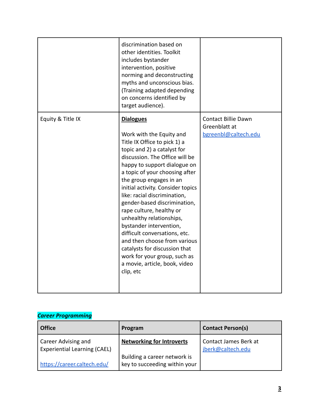|                   | discrimination based on<br>other identities. Toolkit<br>includes bystander<br>intervention, positive<br>norming and deconstructing<br>myths and unconscious bias.<br>(Training adapted depending<br>on concerns identified by<br>target audience).                                                                                                                                                                                                                                                                                                                                                                 |                                                                     |
|-------------------|--------------------------------------------------------------------------------------------------------------------------------------------------------------------------------------------------------------------------------------------------------------------------------------------------------------------------------------------------------------------------------------------------------------------------------------------------------------------------------------------------------------------------------------------------------------------------------------------------------------------|---------------------------------------------------------------------|
| Equity & Title IX | <b>Dialogues</b><br>Work with the Equity and<br>Title IX Office to pick 1) a<br>topic and 2) a catalyst for<br>discussion. The Office will be<br>happy to support dialogue on<br>a topic of your choosing after<br>the group engages in an<br>initial activity. Consider topics<br>like: racial discrimination,<br>gender-based discrimination,<br>rape culture, healthy or<br>unhealthy relationships,<br>bystander intervention,<br>difficult conversations, etc.<br>and then choose from various<br>catalysts for discussion that<br>work for your group, such as<br>a movie, article, book, video<br>clip, etc | <b>Contact Billie Dawn</b><br>Greenblatt at<br>bgreenbl@caltech.edu |

# *Career Programming*

| Office                                                     | Program                                                       | <b>Contact Person(s)</b>                   |
|------------------------------------------------------------|---------------------------------------------------------------|--------------------------------------------|
| Career Advising and<br><b>Experiential Learning (CAEL)</b> | <b>Networking for Introverts</b>                              | Contact James Berk at<br>jberk@caltech.edu |
| https://career.caltech.edu/                                | Building a career network is<br>key to succeeding within your |                                            |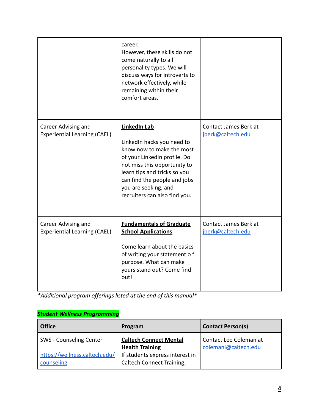|                                                            | career.<br>However, these skills do not<br>come naturally to all<br>personality types. We will<br>discuss ways for introverts to<br>network effectively, while<br>remaining within their<br>comfort areas.                                                              |                                            |
|------------------------------------------------------------|-------------------------------------------------------------------------------------------------------------------------------------------------------------------------------------------------------------------------------------------------------------------------|--------------------------------------------|
| Career Advising and<br><b>Experiential Learning (CAEL)</b> | <b>LinkedIn Lab</b><br>LinkedIn hacks you need to<br>know now to make the most<br>of your LinkedIn profile. Do<br>not miss this opportunity to<br>learn tips and tricks so you<br>can find the people and jobs<br>you are seeking, and<br>recruiters can also find you. | Contact James Berk at<br>jberk@caltech.edu |
| Career Advising and<br><b>Experiential Learning (CAEL)</b> | <b>Fundamentals of Graduate</b><br><b>School Applications</b><br>Come learn about the basics<br>of writing your statement o f<br>purpose. What can make<br>yours stand out? Come find<br>out!                                                                           | Contact James Berk at<br>jberk@caltech.edu |

*\*Additional program offerings listed at the end of this manual\**

# *Student Wellness Programming*

| Office                                      | Program                                                      | <b>Contact Person(s)</b>                       |
|---------------------------------------------|--------------------------------------------------------------|------------------------------------------------|
| SWS - Counseling Center                     | <b>Caltech Connect Mental</b><br><b>Health Training</b>      | Contact Lee Coleman at<br>colemanl@caltech.edu |
| https://wellness.caltech.edu/<br>counseling | If students express interest in<br>Caltech Connect Training, |                                                |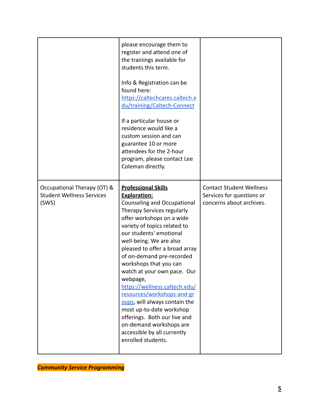|                                                                          | please encourage them to<br>register and attend one of<br>the trainings available for<br>students this term.<br>Info & Registration can be<br>found here:<br>https://caltechcares.caltech.e<br>du/training/Caltech-Connect<br>If a particular house or<br>residence would like a<br>custom session and can<br>guarantee 10 or more<br>attendees for the 2-hour<br>program, please contact Lee<br>Coleman directly.                                                                                                                                                                                                |                                                                                          |
|--------------------------------------------------------------------------|-------------------------------------------------------------------------------------------------------------------------------------------------------------------------------------------------------------------------------------------------------------------------------------------------------------------------------------------------------------------------------------------------------------------------------------------------------------------------------------------------------------------------------------------------------------------------------------------------------------------|------------------------------------------------------------------------------------------|
| Occupational Therapy (OT) &<br><b>Student Wellness Services</b><br>(SWS) | <b>Professional Skills</b><br><b>Exploration:</b><br>Counseling and Occupational<br>Therapy Services regularly<br>offer workshops on a wide<br>variety of topics related to<br>our students' emotional<br>well-being. We are also<br>pleased to offer a broad array<br>of on-demand pre-recorded<br>workshops that you can<br>watch at your own pace. Our<br>webpage,<br>https://wellness.caltech.edu/<br>resources/workshops-and-gr<br>oups, will always contain the<br>most up-to-date workshop<br>offerings. Both our live and<br>on-demand workshops are<br>accessible by all currently<br>enrolled students. | <b>Contact Student Wellness</b><br>Services for questions or<br>concerns about archives. |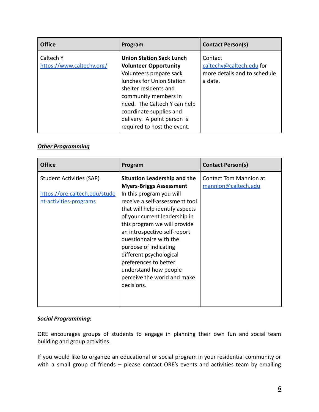| <b>Office</b>                          | Program                                                                                                                                                                                                                                                                                           | <b>Contact Person(s)</b>                                                       |
|----------------------------------------|---------------------------------------------------------------------------------------------------------------------------------------------------------------------------------------------------------------------------------------------------------------------------------------------------|--------------------------------------------------------------------------------|
| Caltech Y<br>https://www.caltechy.org/ | <b>Union Station Sack Lunch</b><br><b>Volunteer Opportunity</b><br>Volunteers prepare sack<br>lunches for Union Station<br>shelter residents and<br>community members in<br>need. The Caltech Y can help<br>coordinate supplies and<br>delivery. A point person is<br>required to host the event. | Contact<br>caltechy@caltech.edu for<br>more details and to schedule<br>a date. |

# *Other Programming*

| <b>Office</b>                                                                              | Program                                                                                                                                                                                                                                                                                                                                                                                                                                              | <b>Contact Person(s)</b>                             |
|--------------------------------------------------------------------------------------------|------------------------------------------------------------------------------------------------------------------------------------------------------------------------------------------------------------------------------------------------------------------------------------------------------------------------------------------------------------------------------------------------------------------------------------------------------|------------------------------------------------------|
| <b>Student Activities (SAP)</b><br>https://ore.caltech.edu/stude<br>nt-activities-programs | <b>Situation Leadership and the</b><br><b>Myers-Briggs Assessment</b><br>In this program you will<br>receive a self-assessment tool<br>that will help identify aspects<br>of your current leadership in<br>this program we will provide<br>an introspective self-report<br>questionnaire with the<br>purpose of indicating<br>different psychological<br>preferences to better<br>understand how people<br>perceive the world and make<br>decisions. | <b>Contact Tom Mannion at</b><br>mannion@caltech.edu |

# *Social Programming:*

ORE encourages groups of students to engage in planning their own fun and social team building and group activities.

If you would like to organize an educational or social program in your residential community or with a small group of friends - please contact ORE's events and activities team by emailing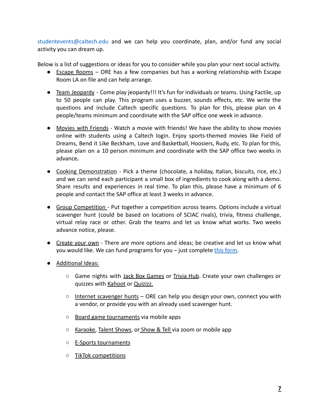studentevents@caltech.edu and we can help you coordinate, plan, and/or fund any social activity you can dream up.

Below is a list of suggestions or ideas for you to consider while you plan your next social activity.

- Escape Rooms ORE has a few companies but has a working relationship with Escape Room LA on file and can help arrange.
- Team Jeopardy Come play jeopardy!!! It's fun for individuals or teams. Using Factile, up to 50 people can play. This program uses a buzzer, sounds effects, etc. We write the questions and include Caltech specific questions. To plan for this, please plan on 4 people/teams minimum and coordinate with the SAP office one week in advance.
- Movies with Friends Watch a movie with friends! We have the ability to show movies online with students using a Caltech login. Enjoy sports-themed movies like Field of Dreams, Bend it Like Beckham, Love and Basketball, Hoosiers, Rudy, etc. To plan for this, please plan on a 10 person minimum and coordinate with the SAP office two weeks in advance**.**
- Cooking Demonstration Pick a theme (chocolate, a holiday, Italian, biscuits, rice, etc.) and we can send each participant a small box of ingredients to cook along with a demo. Share results and experiences in real time. To plan this, please have a minimum of 6 people and contact the SAP office at least 3 weeks in advance.
- Group Competition Put together a competition across teams. Options include a virtual scavenger hunt (could be based on locations of SCIAC rivals), trivia, fitness challenge, virtual relay race or other. Grab the teams and let us know what works. Two weeks advance notice, please.
- Create your own There are more options and ideas; be creative and let us know what you would like. We can fund programs for you – just complete [this form.](https://caltechresidentialexperience.wufoo.com/forms/ore-event-activity-funding-application/)
- Additional Ideas:
	- Game nights with Jack Box Games or Trivia Hub. Create your own challenges or quizzes with Kahoot or Quizizz.
	- $\circ$  Internet scavenger hunts ORE can help you design your own, connect you with a vendor, or provide you with an already used scavenger hunt.
	- Board game tournaments via mobile apps
	- Karaoke, Talent Shows, or Show & Tell via zoom or mobile app
	- **E-Sports tournaments**
	- TikTok competitions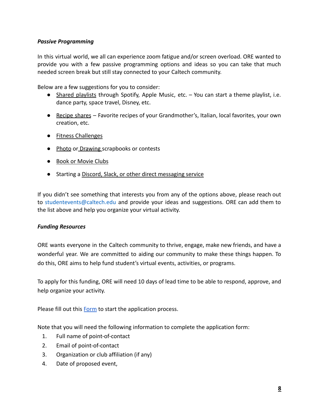# *Passive Programming*

In this virtual world, we all can experience zoom fatigue and/or screen overload. ORE wanted to provide you with a few passive programming options and ideas so you can take that much needed screen break but still stay connected to your Caltech community.

Below are a few suggestions for you to consider:

- Shared playlists through Spotify, Apple Music, etc. You can start a theme playlist, i.e. dance party, space travel, Disney, etc.
- Recipe shares Favorite recipes of your Grandmother's, Italian, local favorites, your own creation, etc.
- Fitness Challenges
- Photo or Drawing scrapbooks or contests
- Book or Movie Clubs
- Starting a Discord, Slack, or other direct messaging service

If you didn't see something that interests you from any of the options above, please reach out to studentevents@caltech.edu and provide your ideas and suggestions. ORE can add them to the list above and help you organize your virtual activity.

# *Funding Resources*

ORE wants everyone in the Caltech community to thrive, engage, make new friends, and have a wonderful year. We are committed to aiding our community to make these things happen. To do this, ORE aims to help fund student's virtual events, activities, or programs.

To apply for this funding, ORE will need 10 days of lead time to be able to respond, approve, and help organize your activity.

Please fill out this [Form](https://caltechresidentialexperience.wufoo.com/forms/ore-event-activity-funding-application/) to start the application process.

Note that you will need the following information to complete the application form:

- 1. Full name of point-of-contact
- 2. Email of point-of-contact
- 3. Organization or club affiliation (if any)
- 4. Date of proposed event,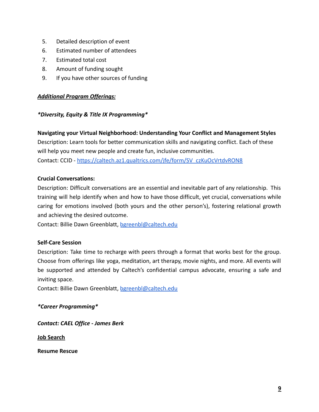- 5. Detailed description of event
- 6. Estimated number of attendees
- 7. Estimated total cost
- 8. Amount of funding sought
- 9. If you have other sources of funding

# *Additional Program Offerings:*

# *\*Diversity, Equity & Title IX Programming\**

**Navigating your Virtual Neighborhood: Understanding Your Conflict and Management Styles** Description: Learn tools for better communication skills and navigating conflict. Each of these will help you meet new people and create fun, inclusive communities. Contact: CCID - [https://caltech.az1.qualtrics.com/jfe/form/SV\\_czKuOcVrtdvRON8](https://caltech.az1.qualtrics.com/jfe/form/SV_czKuOcVrtdvRON8)

# **Crucial Conversations:**

Description: Difficult conversations are an essential and inevitable part of any relationship. This training will help identify when and how to have those difficult, yet crucial, conversations while caring for emotions involved (both yours and the other person's), fostering relational growth and achieving the desired outcome.

Contact: Billie Dawn Greenblatt, [bgreenbl@caltech.edu](mailto:bgreenbl@caltech.edu)

# **Self-Care Session**

Description: Take time to recharge with peers through a format that works best for the group. Choose from offerings like yoga, meditation, art therapy, movie nights, and more. All events will be supported and attended by Caltech's confidential campus advocate, ensuring a safe and inviting space.

Contact: Billie Dawn Greenblatt, [bgreenbl@caltech.edu](mailto:bgreenbl@caltech.edu)

# *\*Career Programming\**

*Contact: CAEL Office - James Berk*

**Job Search**

**Resume Rescue**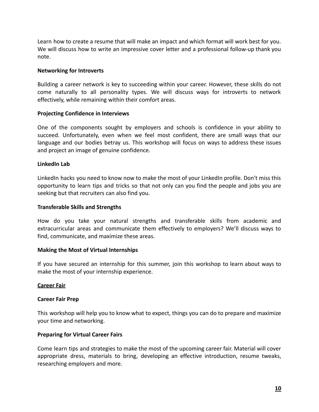Learn how to create a resume that will make an impact and which format will work best for you. We will discuss how to write an impressive cover letter and a professional follow-up thank you note.

#### **Networking for Introverts**

Building a career network is key to succeeding within your career. However, these skills do not come naturally to all personality types. We will discuss ways for introverts to network effectively, while remaining within their comfort areas.

#### **Projecting Confidence in Interviews**

One of the components sought by employers and schools is confidence in your ability to succeed. Unfortunately, even when we feel most confident, there are small ways that our language and our bodies betray us. This workshop will focus on ways to address these issues and project an image of genuine confidence.

#### **LinkedIn Lab**

LinkedIn hacks you need to know now to make the most of your LinkedIn profile. Don't miss this opportunity to learn tips and tricks so that not only can you find the people and jobs you are seeking but that recruiters can also find you.

#### **Transferable Skills and Strengths**

How do you take your natural strengths and transferable skills from academic and extracurricular areas and communicate them effectively to employers? We'll discuss ways to find, communicate, and maximize these areas.

#### **Making the Most of Virtual Internships**

If you have secured an internship for this summer, join this workshop to learn about ways to make the most of your internship experience.

#### **Career Fair**

#### **Career Fair Prep**

This workshop will help you to know what to expect, things you can do to prepare and maximize your time and networking.

#### **Preparing for Virtual Career Fairs**

Come learn tips and strategies to make the most of the upcoming career fair. Material will cover appropriate dress, materials to bring, developing an effective introduction, resume tweaks, researching employers and more.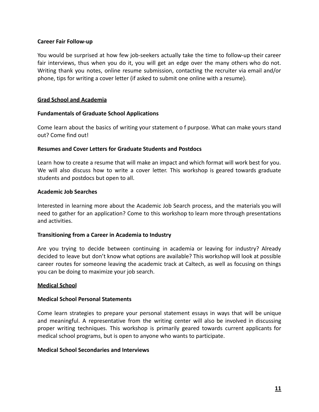#### **Career Fair Follow-up**

You would be surprised at how few job-seekers actually take the time to follow-up their career fair interviews, thus when you do it, you will get an edge over the many others who do not. Writing thank you notes, online resume submission, contacting the recruiter via email and/or phone, tips for writing a cover letter (if asked to submit one online with a resume).

#### **Grad School and Academia**

#### **Fundamentals of Graduate School Applications**

Come learn about the basics of writing your statement o f purpose. What can make yours stand out? Come find out!

#### **Resumes and Cover Letters for Graduate Students and Postdocs**

Learn how to create a resume that will make an impact and which format will work best for you. We will also discuss how to write a cover letter. This workshop is geared towards graduate students and postdocs but open to all.

#### **Academic Job Searches**

Interested in learning more about the Academic Job Search process, and the materials you will need to gather for an application? Come to this workshop to learn more through presentations and activities.

#### **Transitioning from a Career in Academia to Industry**

Are you trying to decide between continuing in academia or leaving for industry? Already decided to leave but don't know what options are available? This workshop will look at possible career routes for someone leaving the academic track at Caltech, as well as focusing on things you can be doing to maximize your job search.

#### **Medical School**

#### **Medical School Personal Statements**

Come learn strategies to prepare your personal statement essays in ways that will be unique and meaningful. A representative from the writing center will also be involved in discussing proper writing techniques. This workshop is primarily geared towards current applicants for medical school programs, but is open to anyone who wants to participate.

#### **Medical School Secondaries and Interviews**